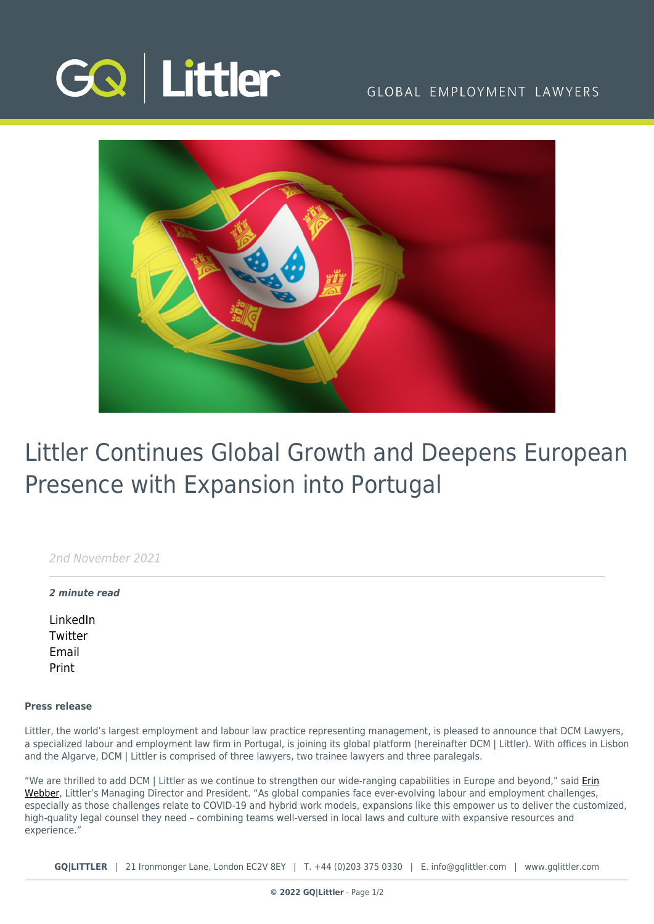

## GLOBAL EMPLOYMENT LAWYERS



# Littler Continues Global Growth and Deepens European Presence with Expansion into Portugal

2nd November 2021

### *2 minute read*

[LinkedIn](https://www.linkedin.com/shareArticle?mini=true&url=https%3A%2F%2Fwww.gqlittler.com%2Fresources%2Fnews-and-views%2Flittler-continues-global-growth-and-deepens-european-presence-with-expansion-into-portugal.htm%3Funlock%3Dtrue&title=Littler+Continues+Global+Growth+and+Deepens+European+Presence+with+Expansion+into+Portugal&summary=Littler%2C+the+world%E2%80%99s+largest+employment+and+labour+law+practice+representing+management%2C+is+pleased+to+announce+that+DCM+Lawyers%2C+a+specialized+labour+and+employment+law+firm+in+Portugal%2C+is+joining+its+global+platform+%28hereinafter+DCM+%7C+Littler%29.&source=GQ+%7C+Littler) **[Twitter](https://twitter.com/share?text=Littler+Continues+Global+Growth+and+Deepens+European+Presence+with+Expansion+into+Portugal&url=https%3A%2F%2Fwww.gqlittler.com%2Fresources%2Fnews-and-views%2Flittler-continues-global-growth-and-deepens-european-presence-with-expansion-into-portugal.htm&hashtags=)** [Email](mailto:?subject=Littler Continues Global Growth and Deepens European Presence with Expansion into Portugal&body=I) [Print](https://www.bg-pdf.co.uk/_GQ/page.php?M=6148523063484d364c793933643363755a33467361585230624756794c6d4e76625339795a584e7664584a6a5a584d76626d563363793168626d5174646d6c6c64334d7662476c306447786c6369316a62323530615735315a584d745a327876596d46734c5764796233643061433168626d51745a47566c634756756379316c64584a766347566862693177636d567a5a57356a5a5331336158526f4c5756346347467563326c7662693170626e52764c584276636e52315a3246734c6d683062534e4149307870644852735a5849675132397564476c756457567a4945647362324a6862434248636d3933644767675957356b4945526c5a58426c626e4d67525856796233426c5957346755484a6c633256755932556764326c306143424665484268626e4e7062323467615735306279425162334a306457646862434e4149327870644852735a5849745932397564476c756457567a4c57647362324a686243316e636d3933644767745957356b4c57526c5a58426c626e4d745a5856796233426c5957347463484a6c633256755932557464326c306143316c65484268626e4e7062323474615735306279317762334a306457646862413d3d)

### **Press release**

Littler, the world's largest employment and labour law practice representing management, is pleased to announce that DCM Lawyers, a specialized labour and employment law firm in Portugal, is joining its global platform (hereinafter DCM | Littler). With offices in Lisbon and the Algarve, DCM | Littler is comprised of three lawyers, two trainee lawyers and three paralegals.

"We are thrilled to add DCM | Littler as we continue to strengthen our wide-ranging capabilities in Europe and beyond," said *[Erin](https://www.littler.com/people/erin-webber)* [Webber](https://www.littler.com/people/erin-webber), Littler's Managing Director and President. "As global companies face ever-evolving labour and employment challenges, especially as those challenges relate to COVID-19 and hybrid work models, expansions like this empower us to deliver the customized, high-quality legal counsel they need – combining teams well-versed in local laws and culture with expansive resources and experience."

**GQ|LITTLER** | 21 Ironmonger Lane, London EC2V 8EY | T. [+44 \(0\)203 375 0330](https://www.bg-pdf.co.uk/_GQ/tel:+442033750330) | E. [info@gqlittler.com](mailto:info@gqlittler.com) | [www.gqlittler.com](https://www.gqlittler.com)